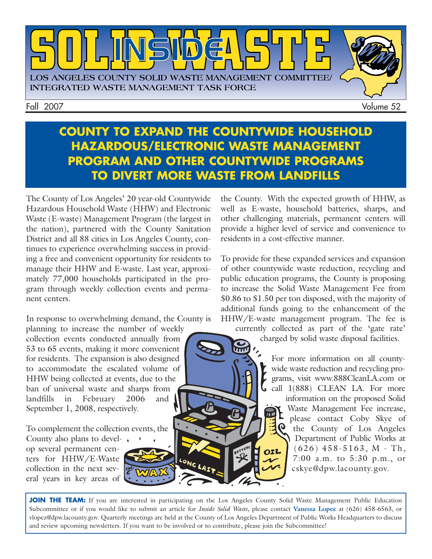

Fall 2007 Volume 52

### **COUNTY TO EXPAND THE COUNTYWIDE HOUSEHOLD HAZARDOUS/ELECTRONIC WASTE MANAGEMENT PROGRAM AND OTHER COUNTYWIDE PROGRAMS TO DIVERT MORE WASTE FROM LANDFILLS**

The County of Los Angeles' 20 year-old Countywide Hazardous Household Waste (HHW) and Electronic Waste (E-waste) Management Program (the largest in the nation), partnered with the County Sanitation District and all 88 cities in Los Angeles County, continues to experience overwhelming success in providing a free and convenient opportunity for residents to manage their HHW and E-waste. Last year, approximately 77,000 households participated in the program through weekly collection events and permanent centers.

In response to overwhelming demand, the County is

planning to increase the number of weekly collection events conducted annually from 53 to 65 events, making it more convenient for residents. The expansion is also designed to accommodate the escalated volume of HHW being collected at events, due to the ban of universal waste and sharps from landfills in February 2006 and September 1, 2008, respectively.

To complement the collection events, the County also plans to develop several permanent centers for HHW/E-Waste collection in the next several years in key areas of



To provide for these expanded services and expansion of other countywide waste reduction, recycling and public education programs, the County is proposing to increase the Solid Waste Management Fee from \$0.86 to \$1.50 per ton disposed, with the majority of additional funds going to the enhancement of the HHW/E-waste management program. The fee is currently collected as part of the 'gate rate'

charged by solid waste disposal facilities.

For more information on all countywide waste reduction and recycling programs, visit [www.888CleanLA.com](http://ladpw.org/epd/) or  $\bigcup$  call  $1(888)$  CLEAN LA. For more information on the proposed Solid Waste Management Fee increase, please contact Coby Skye of the County of Los Angeles Department of Public Works at (626) 458-5163, M - Th,  $\Omega$ 7:00 a.m. to 5:30 p.m., or [cskye@dpw.lacounty.gov.](mailto://cskye@dpw.lacounty.gov)

JOIN THE TEAM: If you are interested in participating on the Los Angeles County Solid Waste Management Public Education Subcommittee or if you would like to submit an article for *Inside Solid Waste,* please contact **Vanessa Lopez** at (626) 458-6563, or [vlopez@dpw.lacounty.gov.](vlopez@dpw.lacounty.gov) Quarterly meetings are held at the County of Los Angeles Department of Public Works Headquarters to discuss and review upcoming newsletters. If you want to be involved or to contribute, please join the Subcommittee!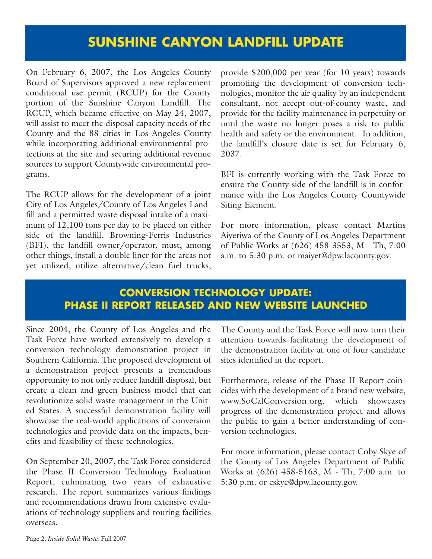### **SUNSHINE CANYON LANDFILL UPDATE**

On February 6, 2007, the Los Angeles County Board of Supervisors approved a new replacement conditional use permit (RCUP) for the County portion of the Sunshine Canyon Landfill. The RCUP, which became effective on May 24, 2007, will assist to meet the disposal capacity needs of the County and the 88 cities in Los Angeles County while incorporating additional environmental protections at the site and securing additional revenue sources to support Countywide environmental programs.

The RCUP allows for the development of a joint City of Los Angeles/County of Los Angeles Landfill and a permitted waste disposal intake of a maximum of 12,100 tons per day to be placed on either side of the landfill. Browning-Ferris Industries (BFI), the landfill owner/operator, must, among other things, install a double liner for the areas not yet utilized, utilize alternative/clean fuel trucks, provide \$200,000 per year (for 10 years) towards promoting the development of conversion technologies, monitor the air quality by an independent consultant, not accept out-of-county waste, and provide for the facility maintenance in perpetuity or until the waste no longer poses a risk to public health and safety or the environment. In addition, the landfill's closure date is set for February 6, 2037.

BFI is currently working with the Task Force to ensure the County side of the landfill is in conformance with the Los Angeles County Countywide Siting Element.

For more information, please contact Martins Aiyetiwa of the County of Los Angeles Department of Public Works at (626) 458-3553, M - Th, 7:00 a.m. to 5:30 p.m. or [maiyet@dpw.lacounty.gov.](mailto://maiyet@dpw.lacounty.gov)

#### **CONVERSION TECHNOLOGY UPDATE: PHASE II REPORT RELEASED AND NEW WEBSITE LAUNCHED**

Since 2004, the County of Los Angeles and the Task Force have worked extensively to develop a conversion technology demonstration project in Southern California. The proposed development of a demonstration project presents a tremendous opportunity to not only reduce landfill disposal, but create a clean and green business model that can revolutionize solid waste management in the United States. A successful demonstration facility will showcase the real-world applications of conversion technologies and provide data on the impacts, benefits and feasibility of these technologies.

On September 20, 2007, the Task Force considered the Phase II Conversion Technology Evaluation Report, culminating two years of exhaustive research. The report summarizes various findings and recommendations drawn from extensive evaluations of technology suppliers and touring facilities overseas.

The County and the Task Force will now turn their attention towards facilitating the development of the demonstration facility at one of four candidate sites identified in the report.

Furthermore, release of the Phase II Report coincides with the development of a brand new website, www.SoCalConversion.org, which showcases progress of the demonstration project and allows the public to gain a better understanding of conversion technologies.

For more information, please contact Coby Skye of the County of Los Angeles Department of Public Works at (626) 458-5163, M - Th, 7:00 a.m. to 5:30 p.m. or [cskye@dpw.lacounty.gov.](mailto://cskye@dpw.lacounty.gov)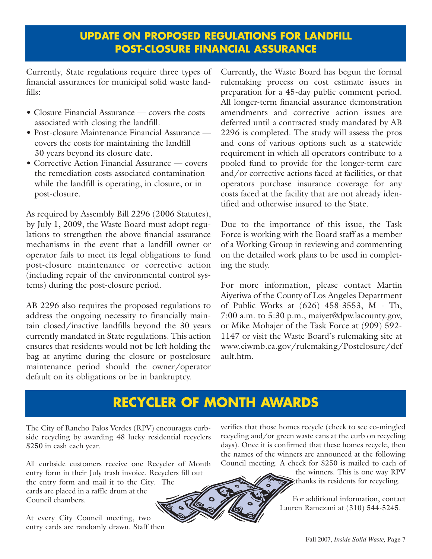### **UPDATE ON PROPOSED REGULATIONS FOR LANDFILL POST-CLOSURE FINANCIAL ASSURANCE**

Currently, State regulations require three types of financial assurances for municipal solid waste landfills:

- Closure Financial Assurance covers the costs associated with closing the landfill.
- Post-closure Maintenance Financial Assurance covers the costs for maintaining the landfill 30 years beyond its closure date.
- Corrective Action Financial Assurance covers the remediation costs associated contamination while the landfill is operating, in closure, or in post-closure.

As required by Assembly Bill 2296 (2006 Statutes), by July 1, 2009, the Waste Board must adopt regulations to strengthen the above financial assurance mechanisms in the event that a landfill owner or operator fails to meet its legal obligations to fund post-closure maintenance or corrective action (including repair of the environmental control systems) during the post-closure period.

AB 2296 also requires the proposed regulations to address the ongoing necessity to financially maintain closed/inactive landfills beyond the 30 years currently mandated in State regulations. This action ensures that residents would not be left holding the bag at anytime during the closure or postclosure maintenance period should the owner/operator default on its obligations or be in bankruptcy.

Currently, the Waste Board has begun the formal rulemaking process on cost estimate issues in preparation for a 45-day public comment period. All longer-term financial assurance demonstration amendments and corrective action issues are deferred until a contracted study mandated by AB 2296 is completed. The study will assess the pros and cons of various options such as a statewide requirement in which all operators contribute to a pooled fund to provide for the longer-term care and/or corrective actions faced at facilities, or that operators purchase insurance coverage for any costs faced at the facility that are not already identified and otherwise insured to the State.

Due to the importance of this issue, the Task Force is working with the Board staff as a member of a Working Group in reviewing and commenting on the detailed work plans to be used in completing the study.

For more information, please contact Martin Aiyetiwa of the County of Los Angeles Department of Public Works at (626) 458-3553, M - Th, 7:00 a.m. to 5:30 p.m., [maiyet@dpw.lacounty.gov,](mailto://maiyet@dpw.lacounty.gov) or Mike Mohajer of the Task Force at (909) 592- 1147 or visit the Waste Board's rulemaking site at www.ciwmb.ca.gov/rulemaking/Postclosure/def ault.htm.

### **RECYCLER OF MONTH AWARDS**

The City of Rancho Palos Verdes (RPV) encourages curbside recycling by awarding 48 lucky residential recyclers \$250 in cash each year.

All curbside customers receive one Recycler of Month entry form in their July trash invoice. Recyclers fill out the entry form and mail it to the City. The cards are placed in a raffle drum at the Council chambers.

At every City Council meeting, two entry cards are randomly drawn. Staff then verifies that those homes recycle (check to see co-mingled recycling and/or green waste cans at the curb on recycling days). Once it is confirmed that these homes recycle, then the names of the winners are announced at the following Council meeting. A check for \$250 is mailed to each of

> the winners. This is one way RPV thanks its residents for recycling.

For additional information, contact Lauren Ramezani at (310) 544-5245.

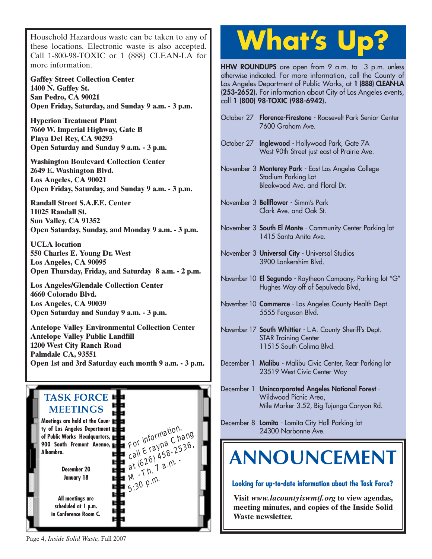Household Hazardous waste can be taken to any of these locations. Electronic waste is also accepted. Call 1-800-98-TOXIC or [1 \(888\) CLEAN-LA f](http://ladpw.org/epd/)or more information.

**Gaffey Street Collection Center 1400 N. Gaffey St. San Pedro, CA 90021 Open Friday, Saturday, and Sunday 9 a.m. - 3 p.m.**

**Hyperion Treatment Plant 7660 W. Imperial Highway, Gate B Playa Del Rey, CA 90293 Open Saturday and Sunday 9 a.m. - 3 p.m.**

**Washington Boulevard Collection Center 2649 E. Washington Blvd. Los Angeles, CA 90021 Open Friday, Saturday, and Sunday 9 a.m. - 3 p.m.**

**Randall Street S.A.F.E. Center 11025 Randall St. Sun Valley, CA 91352 Open Saturday, Sunday, and Monday 9 a.m. - 3 p.m.**

**UCLA location 550 Charles E. Young Dr. West Los Angeles, CA 90095 [Open Thursday, Friday, and Saturday 8 a.m. - 2 p.m.](http://www.lacity.org/san/solid_resources/special/hhw/safe_centers/index.htm)**

**Los Angeles/Glendale Collection Center 4660 Colorado Blvd. Los Angeles, CA 90039 Open Saturday and Sunday 9 a.m. - 3 p.m.**

**Antelope Valley Environmental Collection Center Antelope Valley Public Landfill 1200 West City Ranch Road Palmdale CA, 93551 [Open 1st and 3rd Saturday each month 9 a.m. - 3 p.m.](http://ladpw.org/epd/avecc/index.cfm)**



## **What's Up?**

**HHW ROUNDUPS** are open from 9 a.m. to 3 p.m. unless otherwise indicated. For more information, call the County of Los Angeles Department of Public Works, at **1 (888) CLEAN-LA (253-2652).** For information about City of Los Angeles events, call **1 (800) 98-TOXIC (988-6942).**

- October 27 **Florence-Firestone**  Roosevelt Park Senior Center 7600 Graham Ave.
- October 27 **Inglewood**  Hollywood Park, Gate 7A West 90th Street just east of Prairie Ave.
- November 3 **Monterey Park**  East Los Angeles College Stadium Parking Lot Bleakwood Ave. and Floral Dr.
- November 3 **Bellflower**  Simm's Park Clark Ave. and Oak St.
- November 3 **South El Monte**  Community Center Parking lot 1415 Santa Anita Ave.
- November 3 **Universal City**  Universal Studios 3900 Lankershim Blvd.
- November 10 **El Segundo**  Raytheon Company, Parking lot "G" Hughes Way off of Sepulveda Blvd,
- November 10 **Commerce**  Los Angeles County Health Dept. 5555 Ferguson Blvd.
- November 17 **South Whittier**  L.A. County Sheriff's Dept. STAR Training Center 11515 South Colima Blvd.
- December 1 **Malibu**  Malibu Civic Center, Rear Parking lot 23519 West Civic Center Way
- December 1 **Unincorporated Angeles National Forest**  Wildwood Picnic Area. Mile Marker 3.52, Big Tujunga Canyon Rd.
- December 8 **Lomita**  Lomita City Hall Parking lot 24300 Narbonne Ave.

### **ANNOUNCEMENT**

**Looking for up-to-date information about the Task Force?**

**Visit** *[www.lacountyiswmtf.org](http://ladpw.org/epd/tf/)* **to view agendas, meeting minutes, and copies of the Inside Solid Waste newsletter.**

Page 4, *Inside Solid Waste,* Fall 2007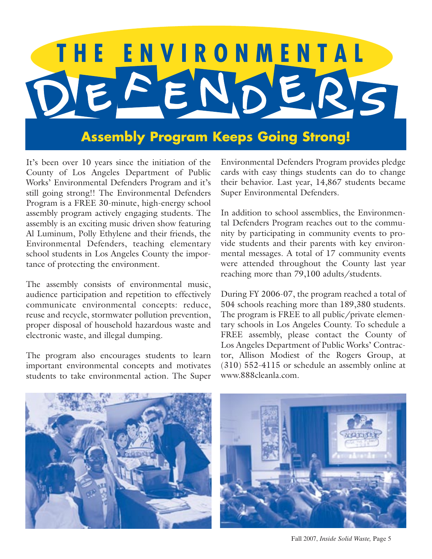# THE ENVIRONMENTAL FEND

### **[Assembly Program Keeps Going Strong!](http://ladpw.org/epd/defenders/index.cfm)**

It's been over 10 years since the initiation of the County of Los Angeles Department of Public Works' Environmental Defenders Program and it's still going strong!! The Environmental Defenders Program is a FREE 30-minute, high-energy school assembly program actively engaging students. The assembly is an exciting music driven show featuring Al Luminum, Polly Ethylene and their friends, the Environmental Defenders, teaching elementary school students in Los Angeles County the importance of protecting the environment.

The assembly consists of environmental music, audience participation and repetition to effectively communicate environmental concepts: reduce, reuse and recycle, stormwater pollution prevention, proper disposal of household hazardous waste and electronic waste, and illegal dumping.

The program also encourages students to learn important environmental concepts and motivates students to take environmental action. The Super Environmental Defenders Program provides pledge cards with easy things students can do to change their behavior. Last year, 14,867 students became Super Environmental Defenders.

In addition to school assemblies, the Environmental Defenders Program reaches out to the community by participating in community events to provide students and their parents with key environmental messages. A total of 17 community events were attended throughout the County last year reaching more than 79,100 adults/students.

During FY 2006-07, the program reached a total of 504 schools reaching more than 189,380 students. The program is FREE to all public/private elementary schools in Los Angeles County. To schedule a FREE assembly, please contact the County of Los Angeles Department of Public Works' Contractor, Allison Modiest of the Rogers Group, at (310) 552-4115 or schedule an assembly online at [www.888cleanla.com.](ttp://ladpw.org/epd/defenders/index.cfm) 



Fall 2007, *Inside Solid Waste,* Page 5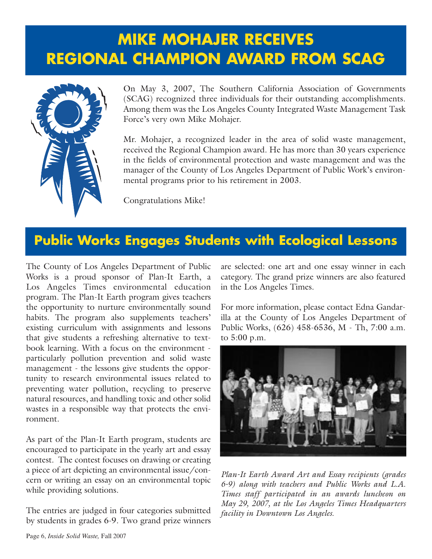### **MIKE MOHAJER RECEIVES REGIONAL CHAMPION AWARD FROM SCAG**



On May 3, 2007, The Southern California Association of Governments (SCAG) recognized three individuals for their outstanding accomplishments. Among them was the Los Angeles County Integrated Waste Management Task Force's very own Mike Mohajer.

Mr. Mohajer, a recognized leader in the area of solid waste management, received the Regional Champion award. He has more than 30 years experience in the fields of environmental protection and waste management and was the manager of the County of Los Angeles Department of Public Work's environmental programs prior to his retirement in 2003.

Congratulations Mike!

### **Public Works Engages Students with Ecological Lessons**

The County of Los Angeles Department of Public Works is a proud sponsor of Plan-It Earth, a Los Angeles Times environmental education program. The Plan-It Earth program gives teachers the opportunity to nurture environmentally sound habits. The program also supplements teachers' existing curriculum with assignments and lessons that give students a refreshing alternative to textbook learning. With a focus on the environment particularly pollution prevention and solid waste management - the lessons give students the opportunity to research environmental issues related to preventing water pollution, recycling to preserve natural resources, and handling toxic and other solid wastes in a responsible way that protects the environment.

As part of the Plan-It Earth program, students are encouraged to participate in the yearly art and essay contest. The contest focuses on drawing or creating a piece of art depicting an environmental issue/concern or writing an essay on an environmental topic while providing solutions.

The entries are judged in four categories submitted by students in grades 6-9. Two grand prize winners are selected: one art and one essay winner in each category. The grand prize winners are also featured in the Los Angeles Times.

For more information, please contact Edna Gandarilla at the County of Los Angeles Department of Public Works, (626) 458-6536, M - Th, 7:00 a.m. to 5:00 p.m.



*Plan-It Earth Award Art and Essay recipients (grades 6-9) along with teachers and Public Works and L.A. Times staff participated in an awards luncheon on [May 29, 2007, at the Los Angeles Times Headquarters](http://ladpw.org/epd/Plan-it/Earth/index.cfm) facility in Downtown Los Angeles.*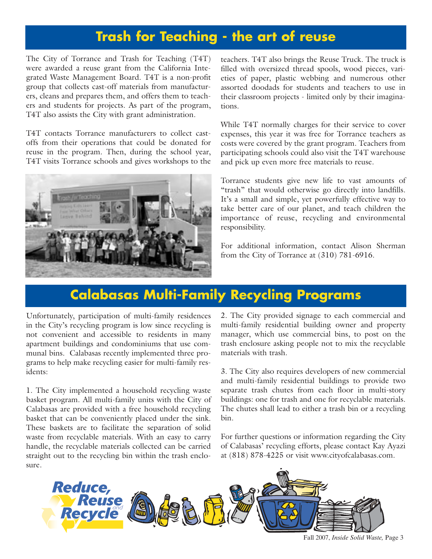### **Trash for Teaching - the art of reuse**

The City of Torrance and Trash for Teaching (T4T) were awarded a reuse grant from the California Integrated Waste Management Board. T4T is a non-profit group that collects cast-off materials from manufacturers, cleans and prepares them, and offers them to teachers and students for projects. As part of the program, T4T also assists the City with grant administration.

T4T contacts Torrance manufacturers to collect castoffs from their operations that could be donated for reuse in the program. Then, during the school year, T4T visits Torrance schools and gives workshops to the



teachers. T4T also brings the Reuse Truck. The truck is filled with oversized thread spools, wood pieces, varieties of paper, plastic webbing and numerous other assorted doodads for students and teachers to use in their classroom projects - limited only by their imaginations.

While T4T normally charges for their service to cover expenses, this year it was free for Torrance teachers as costs were covered by the grant program. Teachers from participating schools could also visit the T4T warehouse and pick up even more free materials to reuse.

Torrance students give new life to vast amounts of "trash" that would otherwise go directly into landfills. It's a small and simple, yet powerfully effective way to take better care of our planet, and teach children the importance of reuse, recycling and environmental responsibility.

For additional information, contact Alison Sherman from the City of Torrance at (310) 781-6916.

### **Calabasas Multi-Family Recycling Programs**

Unfortunately, participation of multi-family residences in the City's recycling program is low since recycling is not convenient and accessible to residents in many apartment buildings and condominiums that use communal bins. Calabasas recently implemented three programs to help make recycling easier for multi-family residents:

1. The City implemented a household recycling waste basket program. All multi-family units with the City of Calabasas are provided with a free household recycling basket that can be conveniently placed under the sink. These baskets are to facilitate the separation of solid waste from recyclable materials. With an easy to carry handle, the recyclable materials collected can be carried straight out to the recycling bin within the trash enclosure.

2. The City provided signage to each commercial and multi-family residential building owner and property manager, which use commercial bins, to post on the trash enclosure asking people not to mix the recyclable materials with trash.

3. The City also requires developers of new commercial and multi-family residential buildings to provide two separate trash chutes from each floor in multi-story buildings: one for trash and one for recyclable materials. The chutes shall lead to either a trash bin or a recycling bin.

For further questions or information regarding the City of Calabasas' recycling efforts, please contact Kay Ayazi at (818) 878-4225 or visit [www.cityofcalabasas.com.](http://www.cityofcalabasas.com./) 



Fall 2007, *Inside Solid Waste,* Page 3